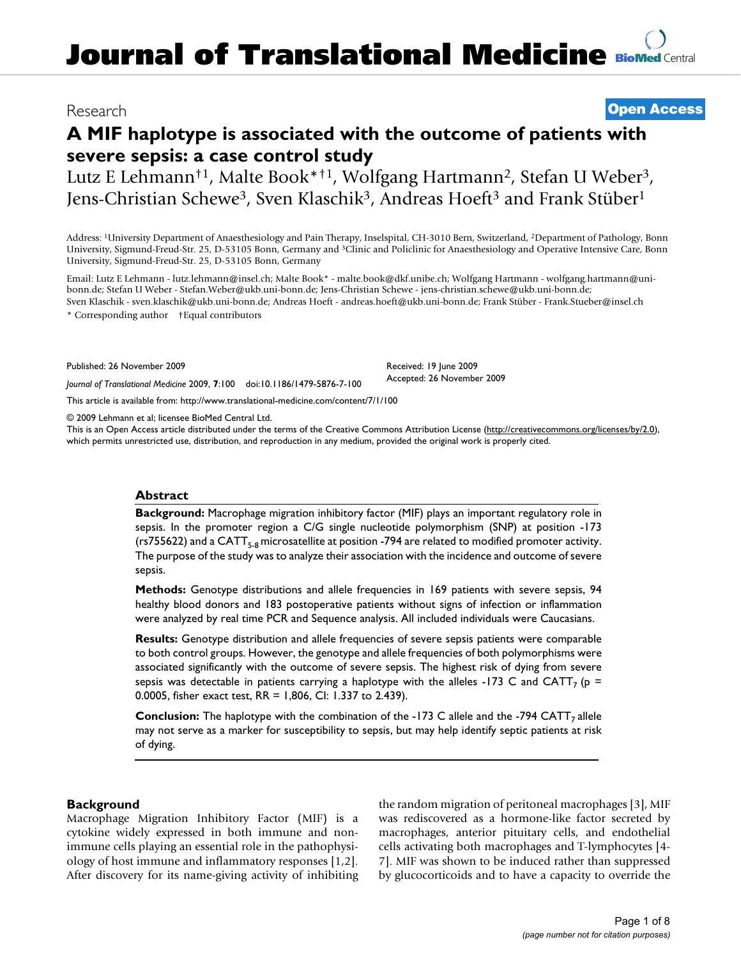## Research **[Open Access](http://www.biomedcentral.com/info/about/charter/)**

# **A MIF haplotype is associated with the outcome of patients with severe sepsis: a case control study**

Lutz E Lehmann<sup>†1</sup>, Malte Book\*<sup>†1</sup>, Wolfgang Hartmann<sup>2</sup>, Stefan U Weber<sup>3</sup>, Jens-Christian Schewe<sup>3</sup>, Sven Klaschik<sup>3</sup>, Andreas Hoeft<sup>3</sup> and Frank Stüber<sup>1</sup>

Address: 1University Department of Anaesthesiology and Pain Therapy, Inselspital, CH-3010 Bern, Switzerland, 2Department of Pathology, Bonn University, Sigmund-Freud-Str. 25, D-53105 Bonn, Germany and 3Clinic and Policlinic for Anaesthesiology and Operative Intensive Care, Bonn University, Sigmund-Freud-Str. 25, D-53105 Bonn, Germany

Email: Lutz E Lehmann - lutz.lehmann@insel.ch; Malte Book\* - malte.book@dkf.unibe.ch; Wolfgang Hartmann - wolfgang.hartmann@unibonn.de; Stefan U Weber - Stefan.Weber@ukb.uni-bonn.de; Jens-Christian Schewe - jens-christian.schewe@ukb.uni-bonn.de; Sven Klaschik - sven.klaschik@ukb.uni-bonn.de; Andreas Hoeft - andreas.hoeft@ukb.uni-bonn.de; Frank Stüber - Frank.Stueber@insel.ch

\* Corresponding author †Equal contributors

Published: 26 November 2009

*Journal of Translational Medicine* 2009, **7**:100 doi:10.1186/1479-5876-7-100

[This article is available from: http://www.translational-medicine.com/content/7/1/100](http://www.translational-medicine.com/content/7/1/100)

© 2009 Lehmann et al; licensee BioMed Central Ltd.

This is an Open Access article distributed under the terms of the Creative Commons Attribution License [\(http://creativecommons.org/licenses/by/2.0\)](http://creativecommons.org/licenses/by/2.0), which permits unrestricted use, distribution, and reproduction in any medium, provided the original work is properly cited.

Received: 19 June 2009 Accepted: 26 November 2009

#### **Abstract**

**Background:** Macrophage migration inhibitory factor (MIF) plays an important regulatory role in sepsis. In the promoter region a C/G single nucleotide polymorphism (SNP) at position -173 (rs755622) and a CATT<sub>5-8</sub> microsatellite at position -794 are related to modified promoter activity. The purpose of the study was to analyze their association with the incidence and outcome of severe sepsis.

**Methods:** Genotype distributions and allele frequencies in 169 patients with severe sepsis, 94 healthy blood donors and 183 postoperative patients without signs of infection or inflammation were analyzed by real time PCR and Sequence analysis. All included individuals were Caucasians.

**Results:** Genotype distribution and allele frequencies of severe sepsis patients were comparable to both control groups. However, the genotype and allele frequencies of both polymorphisms were associated significantly with the outcome of severe sepsis. The highest risk of dying from severe sepsis was detectable in patients carrying a haplotype with the alleles -173 C and CATT<sub>7</sub> ( $p =$ 0.0005, fisher exact test, RR = 1,806, CI: 1.337 to 2.439).

**Conclusion:** The haplotype with the combination of the -173 C allele and the -794 CATT<sub>7</sub> allele may not serve as a marker for susceptibility to sepsis, but may help identify septic patients at risk of dying.

#### **Background**

Macrophage Migration Inhibitory Factor (MIF) is a cytokine widely expressed in both immune and nonimmune cells playing an essential role in the pathophysiology of host immune and inflammatory responses [1,2]. After discovery for its name-giving activity of inhibiting the random migration of peritoneal macrophages [3], MIF was rediscovered as a hormone-like factor secreted by macrophages, anterior pituitary cells, and endothelial cells activating both macrophages and T-lymphocytes [4- 7]. MIF was shown to be induced rather than suppressed by glucocorticoids and to have a capacity to override the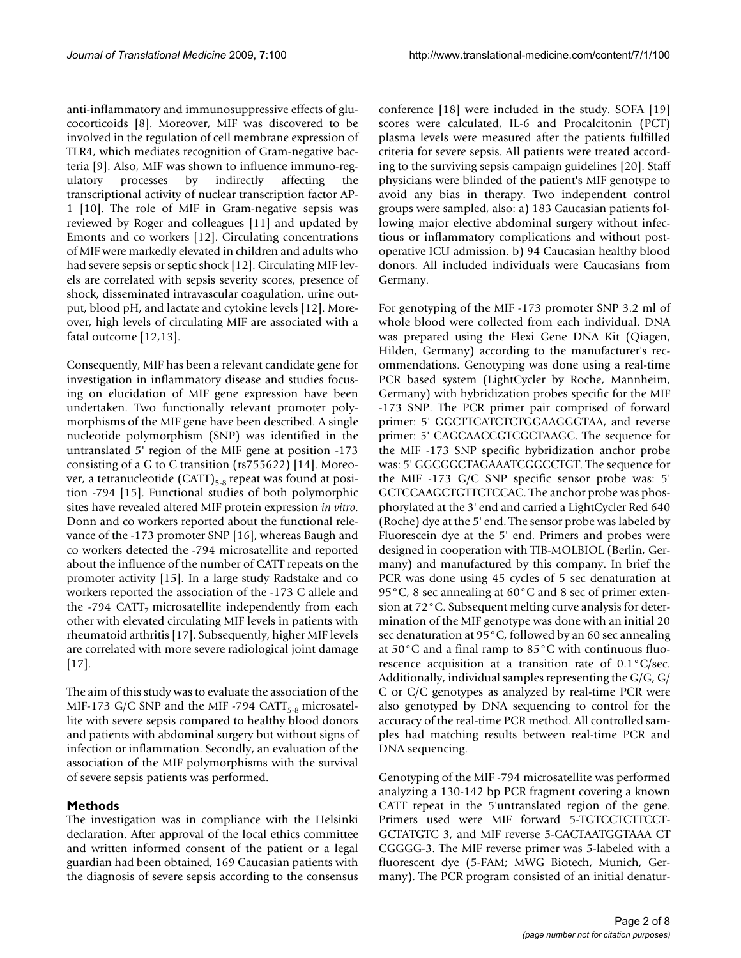anti-inflammatory and immunosuppressive effects of glucocorticoids [8]. Moreover, MIF was discovered to be involved in the regulation of cell membrane expression of TLR4, which mediates recognition of Gram-negative bacteria [9]. Also, MIF was shown to influence immuno-regulatory processes by indirectly affecting the transcriptional activity of nuclear transcription factor AP-1 [10]. The role of MIF in Gram-negative sepsis was reviewed by Roger and colleagues [11] and updated by Emonts and co workers [12]. Circulating concentrations of MIF were markedly elevated in children and adults who had severe sepsis or septic shock [12]. Circulating MIF levels are correlated with sepsis severity scores, presence of shock, disseminated intravascular coagulation, urine output, blood pH, and lactate and cytokine levels [12]. Moreover, high levels of circulating MIF are associated with a fatal outcome [12,13].

Consequently, MIF has been a relevant candidate gene for investigation in inflammatory disease and studies focusing on elucidation of MIF gene expression have been undertaken. Two functionally relevant promoter polymorphisms of the MIF gene have been described. A single nucleotide polymorphism (SNP) was identified in the untranslated 5' region of the MIF gene at position -173 consisting of a G to C transition (rs755622) [14]. Moreover, a tetranucleotide  $(CATT)_{5-8}$  repeat was found at position -794 [15]. Functional studies of both polymorphic sites have revealed altered MIF protein expression *in vitro*. Donn and co workers reported about the functional relevance of the -173 promoter SNP [16], whereas Baugh and co workers detected the -794 microsatellite and reported about the influence of the number of CATT repeats on the promoter activity [15]. In a large study Radstake and co workers reported the association of the -173 C allele and the -794 CATT<sub>7</sub> microsatellite independently from each other with elevated circulating MIF levels in patients with rheumatoid arthritis [17]. Subsequently, higher MIF levels are correlated with more severe radiological joint damage [17].

The aim of this study was to evaluate the association of the MIF-173 G/C SNP and the MIF-794 CATT<sub>5-8</sub> microsatellite with severe sepsis compared to healthy blood donors and patients with abdominal surgery but without signs of infection or inflammation. Secondly, an evaluation of the association of the MIF polymorphisms with the survival of severe sepsis patients was performed.

#### **Methods**

The investigation was in compliance with the Helsinki declaration. After approval of the local ethics committee and written informed consent of the patient or a legal guardian had been obtained, 169 Caucasian patients with the diagnosis of severe sepsis according to the consensus conference [\[18\]](#page-7-0) were included in the study. SOFA [19] scores were calculated, IL-6 and Procalcitonin (PCT) plasma levels were measured after the patients fulfilled criteria for severe sepsis. All patients were treated according to the surviving sepsis campaign guidelines [20]. Staff physicians were blinded of the patient's MIF genotype to avoid any bias in therapy. Two independent control groups were sampled, also: a) 183 Caucasian patients following major elective abdominal surgery without infectious or inflammatory complications and without postoperative ICU admission. b) 94 Caucasian healthy blood donors. All included individuals were Caucasians from Germany.

For genotyping of the MIF -173 promoter SNP 3.2 ml of whole blood were collected from each individual. DNA was prepared using the Flexi Gene DNA Kit (Qiagen, Hilden, Germany) according to the manufacturer's recommendations. Genotyping was done using a real-time PCR based system (LightCycler by Roche, Mannheim, Germany) with hybridization probes specific for the MIF -173 SNP. The PCR primer pair comprised of forward primer: 5' GGCTTCATCTCTGGAAGGGTAA, and reverse primer: 5' CAGCAACCGTCGCTAAGC. The sequence for the MIF -173 SNP specific hybridization anchor probe was: 5' GGCGGCTAGAAATCGGCCTGT. The sequence for the MIF -173 G/C SNP specific sensor probe was: 5' GCTCCAAGCTGTTCTCCAC. The anchor probe was phosphorylated at the 3' end and carried a LightCycler Red 640 (Roche) dye at the 5' end. The sensor probe was labeled by Fluorescein dye at the 5' end. Primers and probes were designed in cooperation with TIB-MOLBIOL (Berlin, Germany) and manufactured by this company. In brief the PCR was done using 45 cycles of 5 sec denaturation at 95°C, 8 sec annealing at 60°C and 8 sec of primer extension at 72°C. Subsequent melting curve analysis for determination of the MIF genotype was done with an initial 20 sec denaturation at 95°C, followed by an 60 sec annealing at 50°C and a final ramp to 85°C with continuous fluorescence acquisition at a transition rate of 0.1°C/sec. Additionally, individual samples representing the G/G, G/ C or C/C genotypes as analyzed by real-time PCR were also genotyped by DNA sequencing to control for the accuracy of the real-time PCR method. All controlled samples had matching results between real-time PCR and DNA sequencing.

Genotyping of the MIF -794 microsatellite was performed analyzing a 130-142 bp PCR fragment covering a known CATT repeat in the 5'untranslated region of the gene. Primers used were MIF forward 5-TGTCCTCTTCCT-GCTATGTC 3, and MIF reverse 5-CACTAATGGTAAA CT CGGGG-3. The MIF reverse primer was 5-labeled with a fluorescent dye (5-FAM; MWG Biotech, Munich, Germany). The PCR program consisted of an initial denatur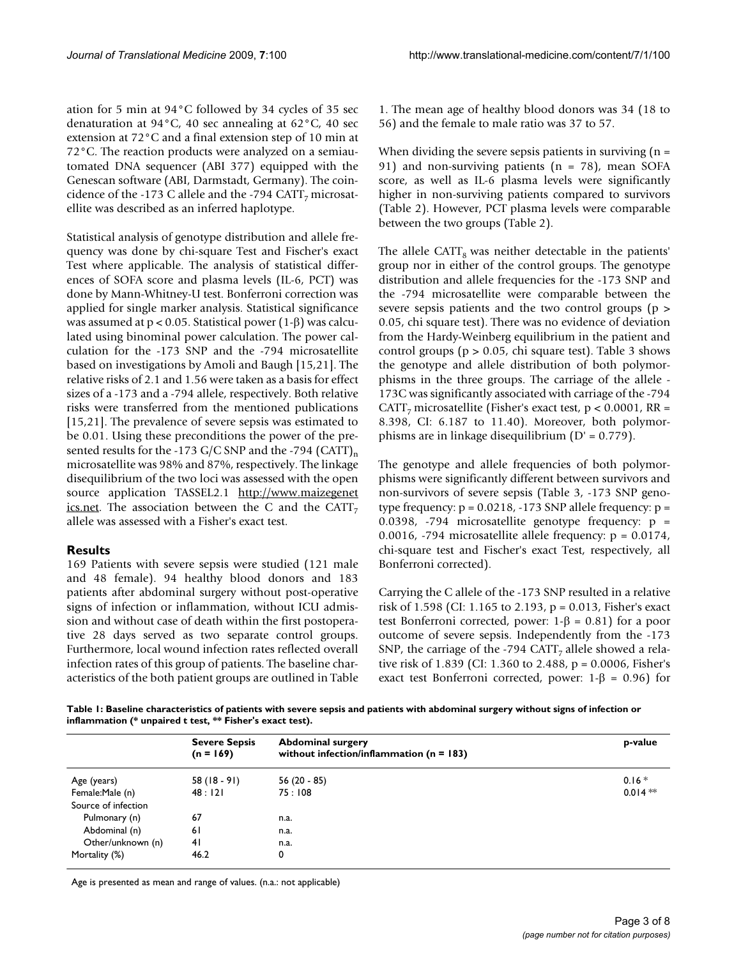ation for 5 min at 94°C followed by 34 cycles of 35 sec denaturation at 94°C, 40 sec annealing at 62°C, 40 sec extension at 72°C and a final extension step of 10 min at 72°C. The reaction products were analyzed on a semiautomated DNA sequencer (ABI 377) equipped with the Genescan software (ABI, Darmstadt, Germany). The coincidence of the -173 C allele and the -794 CATT<sub>7</sub> microsatellite was described as an inferred haplotype.

Statistical analysis of genotype distribution and allele frequency was done by chi-square Test and Fischer's exact Test where applicable. The analysis of statistical differences of SOFA score and plasma levels (IL-6, PCT) was done by Mann-Whitney-U test. Bonferroni correction was applied for single marker analysis. Statistical significance was assumed at p < 0.05. Statistical power (1-β) was calculated using binominal power calculation. The power calculation for the -173 SNP and the -794 microsatellite based on investigations by Amoli and Baugh [15,21]. The relative risks of 2.1 and 1.56 were taken as a basis for effect sizes of a -173 and a -794 allele, respectively. Both relative risks were transferred from the mentioned publications [15,21]. The prevalence of severe sepsis was estimated to be 0.01. Using these preconditions the power of the presented results for the -173 G/C SNP and the -794 (CATT)<sub>n</sub> microsatellite was 98% and 87%, respectively. The linkage disequilibrium of the two loci was assessed with the open source application TASSEL2.1 [http://www.maizegenet](http://www.maizegenetics.net) [ics.net.](http://www.maizegenetics.net) The association between the C and the CATT<sub>7</sub> allele was assessed with a Fisher's exact test.

### **Results**

169 Patients with severe sepsis were studied (121 male and 48 female). 94 healthy blood donors and 183 patients after abdominal surgery without post-operative signs of infection or inflammation, without ICU admission and without case of death within the first postoperative 28 days served as two separate control groups. Furthermore, local wound infection rates reflected overall infection rates of this group of patients. The baseline characteristics of the both patient groups are outlined in Table

1. The mean age of healthy blood donors was 34 (18 to 56) and the female to male ratio was 37 to 57.

When dividing the severe sepsis patients in surviving  $(n =$ 91) and non-surviving patients (n = 78), mean SOFA score, as well as IL-6 plasma levels were significantly higher in non-surviving patients compared to survivors (Table 2). However, PCT plasma levels were comparable between the two groups (Table 2).

The allele CATT<sub>8</sub> was neither detectable in the patients' group nor in either of the control groups. The genotype distribution and allele frequencies for the -173 SNP and the -794 microsatellite were comparable between the severe sepsis patients and the two control groups (p > 0.05, chi square test). There was no evidence of deviation from the Hardy-Weinberg equilibrium in the patient and control groups (p > 0.05, chi square test). Table 3 shows the genotype and allele distribution of both polymorphisms in the three groups. The carriage of the allele - 173C was significantly associated with carriage of the -794 CATT<sub>7</sub> microsatellite (Fisher's exact test,  $p < 0.0001$ , RR = 8.398, CI: 6.187 to 11.40). Moreover, both polymorphisms are in linkage disequilibrium (D' = 0.779).

The genotype and allele frequencies of both polymorphisms were significantly different between survivors and non-survivors of severe sepsis (Table 3, -173 SNP genotype frequency:  $p = 0.0218$ , -173 SNP allele frequency:  $p =$ 0.0398, -794 microsatellite genotype frequency: p = 0.0016,  $-794$  microsatellite allele frequency:  $p = 0.0174$ , chi-square test and Fischer's exact Test, respectively, all Bonferroni corrected).

Carrying the C allele of the -173 SNP resulted in a relative risk of 1.598 (CI: 1.165 to 2.193, p = 0.013, Fisher's exact test Bonferroni corrected, power: 1-β = 0.81) for a poor outcome of severe sepsis. Independently from the -173 SNP, the carriage of the -794 CATT<sub>7</sub> allele showed a relative risk of 1.839 (CI: 1.360 to 2.488, p = 0.0006, Fisher's exact test Bonferroni corrected, power:  $1-\beta = 0.96$ ) for

**Table 1: Baseline characteristics of patients with severe sepsis and patients with abdominal surgery without signs of infection or inflammation (\* unpaired t test, \*\* Fisher's exact test).**

|                     | <b>Severe Sepsis</b><br>$(n = 169)$ | <b>Abdominal surgery</b><br>without infection/inflammation ( $n = 183$ ) | p-value   |
|---------------------|-------------------------------------|--------------------------------------------------------------------------|-----------|
| Age (years)         | $58(18-91)$                         | 56 (20 - 85)                                                             | $0.16*$   |
| Female:Male (n)     | 48:121                              | 75:108                                                                   | $0.014**$ |
| Source of infection |                                     |                                                                          |           |
| Pulmonary (n)       | 67                                  | n.a.                                                                     |           |
| Abdominal (n)       | 6 I                                 | n.a.                                                                     |           |
| Other/unknown (n)   | 41                                  | n.a.                                                                     |           |
| Mortality (%)       | 46.2                                | 0                                                                        |           |
|                     |                                     |                                                                          |           |

Age is presented as mean and range of values. (n.a.: not applicable)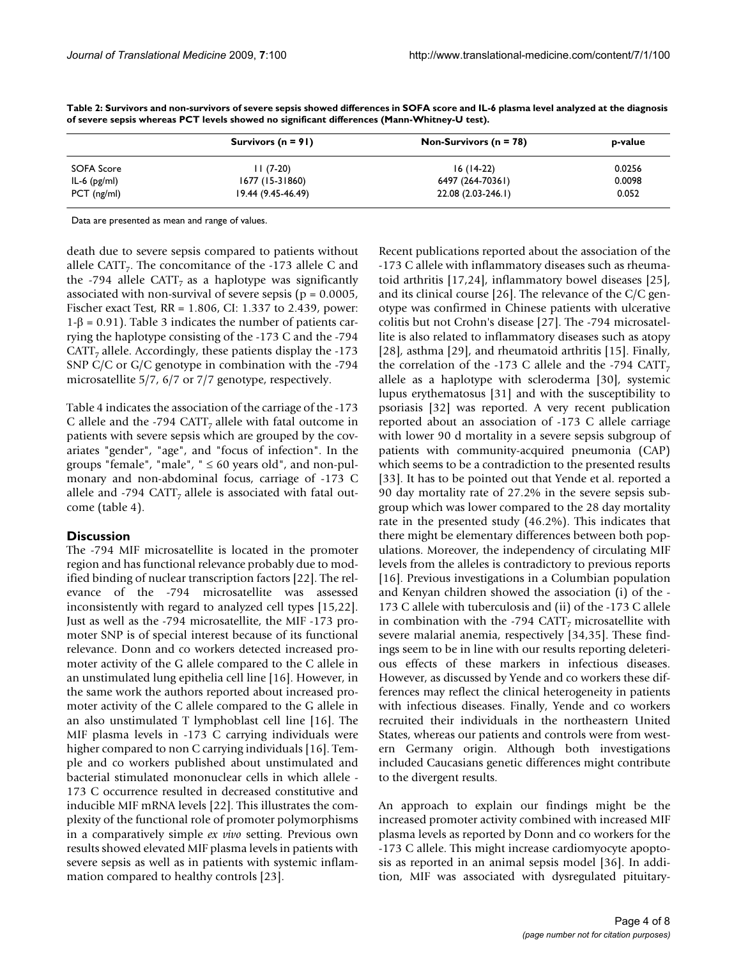|                | Survivors ( $n = 91$ ) | Non-Survivors ( $n = 78$ ) | p-value |  |  |
|----------------|------------------------|----------------------------|---------|--|--|
| SOFA Score     | $11(7-20)$             | $16(14-22)$                | 0.0256  |  |  |
| IL-6 $(pg/ml)$ | 1677 (15-31860)        | 6497 (264-70361)           | 0.0098  |  |  |
| $PCT$ (ng/ml)  | 19.44 (9.45-46.49)     | 22.08 (2.03-246.1)         | 0.052   |  |  |

**Table 2: Survivors and non-survivors of severe sepsis showed differences in SOFA score and IL-6 plasma level analyzed at the diagnosis of severe sepsis whereas PCT levels showed no significant differences (Mann-Whitney-U test).**

Data are presented as mean and range of values.

death due to severe sepsis compared to patients without allele CATT<sub>7</sub>. The concomitance of the -173 allele C and the -794 allele CATT<sub>7</sub> as a haplotype was significantly associated with non-survival of severe sepsis ( $p = 0.0005$ , Fischer exact Test, RR = 1.806, CI: 1.337 to 2.439, power: 1-β = 0.91). Table 3 indicates the number of patients carrying the haplotype consisting of the -173 C and the -794  $CATT<sub>7</sub>$  allele. Accordingly, these patients display the -173 SNP C/C or G/C genotype in combination with the -794 microsatellite 5/7, 6/7 or 7/7 genotype, respectively.

Table 4 indicates the association of the carriage of the -173 C allele and the -794 CATT<sub>7</sub> allele with fatal outcome in patients with severe sepsis which are grouped by the covariates "gender", "age", and "focus of infection". In the groups "female", "male",  $" \leq 60$  years old", and non-pulmonary and non-abdominal focus, carriage of -173 C allele and -794 CATT, allele is associated with fatal outcome (table 4).

#### **Discussion**

The -794 MIF microsatellite is located in the promoter region and has functional relevance probably due to modified binding of nuclear transcription factors [22]. The relevance of the -794 microsatellite was assessed inconsistently with regard to analyzed cell types [15,22]. Just as well as the -794 microsatellite, the MIF -173 promoter SNP is of special interest because of its functional relevance. Donn and co workers detected increased promoter activity of the G allele compared to the C allele in an unstimulated lung epithelia cell line [16]. However, in the same work the authors reported about increased promoter activity of the C allele compared to the G allele in an also unstimulated T lymphoblast cell line [16]. The MIF plasma levels in -173 C carrying individuals were higher compared to non C carrying individuals [16]. Temple and co workers published about unstimulated and bacterial stimulated mononuclear cells in which allele - 173 C occurrence resulted in decreased constitutive and inducible MIF mRNA levels [22]. This illustrates the complexity of the functional role of promoter polymorphisms in a comparatively simple *ex vivo* setting. Previous own results showed elevated MIF plasma levels in patients with severe sepsis as well as in patients with systemic inflammation compared to healthy controls [23].

Recent publications reported about the association of the -173 C allele with inflammatory diseases such as rheumatoid arthritis [17,24], inflammatory bowel diseases [25], and its clinical course [26]. The relevance of the C/C genotype was confirmed in Chinese patients with ulcerative colitis but not Crohn's disease [27]. The -794 microsatellite is also related to inflammatory diseases such as atopy [28], asthma [29], and rheumatoid arthritis [15]. Finally, the correlation of the -173 C allele and the -794 CATT, allele as a haplotype with scleroderma [30], systemic lupus erythematosus [31] and with the susceptibility to psoriasis [32] was reported. A very recent publication reported about an association of -173 C allele carriage with lower 90 d mortality in a severe sepsis subgroup of patients with community-acquired pneumonia (CAP) which seems to be a contradiction to the presented results [33]. It has to be pointed out that Yende et al. reported a 90 day mortality rate of 27.2% in the severe sepsis subgroup which was lower compared to the 28 day mortality rate in the presented study (46.2%). This indicates that there might be elementary differences between both populations. Moreover, the independency of circulating MIF levels from the alleles is contradictory to previous reports [16]. Previous investigations in a Columbian population and Kenyan children showed the association (i) of the - 173 C allele with tuberculosis and (ii) of the -173 C allele in combination with the -794 CATT<sub>7</sub> microsatellite with severe malarial anemia, respectively [34,35]. These findings seem to be in line with our results reporting deleterious effects of these markers in infectious diseases. However, as discussed by Yende and co workers these differences may reflect the clinical heterogeneity in patients with infectious diseases. Finally, Yende and co workers recruited their individuals in the northeastern United States, whereas our patients and controls were from western Germany origin. Although both investigations included Caucasians genetic differences might contribute to the divergent results.

An approach to explain our findings might be the increased promoter activity combined with increased MIF plasma levels as reported by Donn and co workers for the -173 C allele. This might increase cardiomyocyte apoptosis as reported in an animal sepsis model [36]. In addition, MIF was associated with dysregulated pituitary-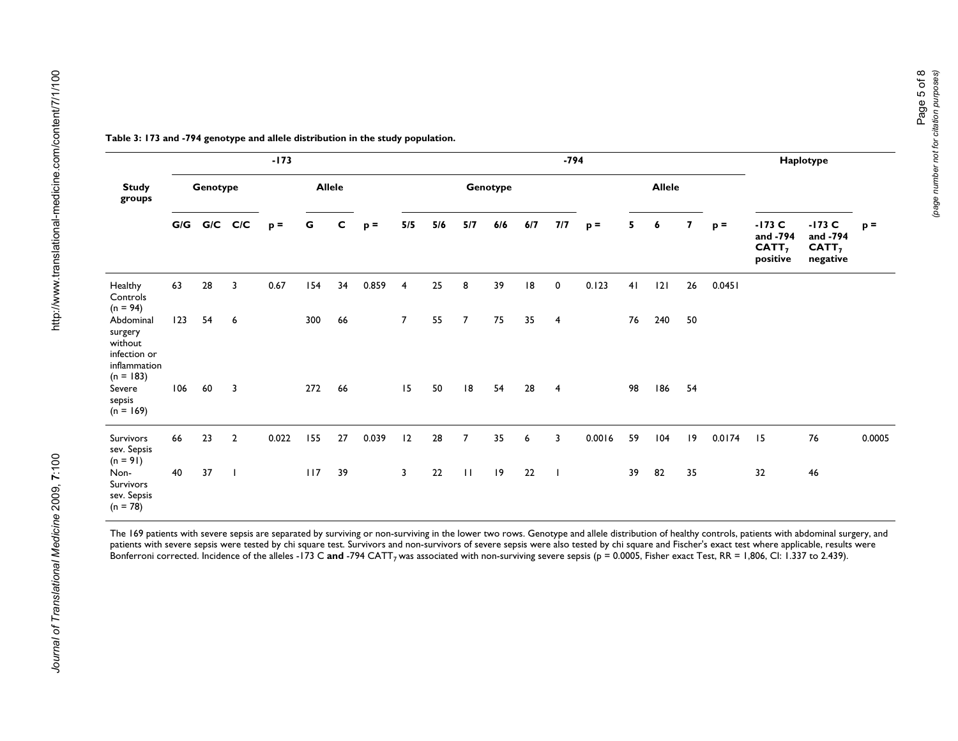|                                                                                |     |             |                | $-173$ |     |               |       |                | $-794$ |                |          |     |                |        |    |               | Haplotype               |        |                                                       |                                                       |        |
|--------------------------------------------------------------------------------|-----|-------------|----------------|--------|-----|---------------|-------|----------------|--------|----------------|----------|-----|----------------|--------|----|---------------|-------------------------|--------|-------------------------------------------------------|-------------------------------------------------------|--------|
| <b>Study</b><br>groups                                                         |     | Genotype    |                |        |     | <b>Allele</b> |       |                |        |                | Genotype |     |                |        |    | <b>Allele</b> |                         |        |                                                       |                                                       |        |
|                                                                                |     | G/G G/C C/C |                | $p =$  | G   | c             | $p =$ | 5/5            | 5/6    | 5/7            | 6/6      | 6/7 | 7/7            | $p =$  | 5  | 6             | $\overline{\mathbf{z}}$ | $p =$  | $-173$ C<br>and -794<br>CATT <sub>7</sub><br>positive | $-173$ C<br>and -794<br>CATT <sub>7</sub><br>negative | $p =$  |
| Healthy<br>Controls<br>$(n = 94)$                                              | 63  | 28          | 3              | 0.67   | 154 | 34            | 0.859 | $\overline{4}$ | 25     | 8              | 39       | 18  | $\mathbf 0$    | 0.123  | 41 | 2             | 26                      | 0.0451 |                                                       |                                                       |        |
| Abdominal<br>surgery<br>without<br>infection or<br>inflammation<br>$(n = 183)$ | 123 | 54          | 6              |        | 300 | 66            |       | $\overline{7}$ | 55     | $\overline{7}$ | 75       | 35  | $\overline{4}$ |        | 76 | 240           | 50                      |        |                                                       |                                                       |        |
| Severe<br>sepsis<br>$(n = 169)$                                                | 106 | 60          | 3              |        | 272 | 66            |       | 15             | 50     | 8              | 54       | 28  | $\overline{4}$ |        | 98 | 186           | 54                      |        |                                                       |                                                       |        |
| Survivors<br>sev. Sepsis<br>$(n = 91)$                                         | 66  | 23          | $\overline{2}$ | 0.022  | 155 | 27            | 0.039 | 12             | 28     | $\overline{7}$ | 35       | 6   | $\overline{3}$ | 0.0016 | 59 | 104           | $ 9\rangle$             | 0.0174 | 15                                                    | 76                                                    | 0.0005 |
| Non-<br>Survivors<br>sev. Sepsis<br>$(n = 78)$                                 | 40  | 37          | $\mathbf{I}$   |        | 117 | 39            |       | 3              | 22     | $\mathbf{H}$   | 9        | 22  | $\blacksquare$ |        | 39 | 82            | 35                      |        | 32                                                    | 46                                                    |        |

The 169 patients with severe sepsis are separated by surviving or non-surviving in the lower two rows. Genotype and allele distribution of healthy controls, patients with abdominal surgery, and patients with severe sepsis were tested by chi square test. Survivors and non-survivors of severe sepsis were also tested by chi square and Fischer's exact test where applicable, results were Bonferroni corrected. Incidence of the alleles -173 C **and** -794 CATT<sub>7</sub> was associated with non-surviving severe sepsis (p = 0.0005, Fisher exact Test, RR = 1,806, CI: 1.337 to 2.439).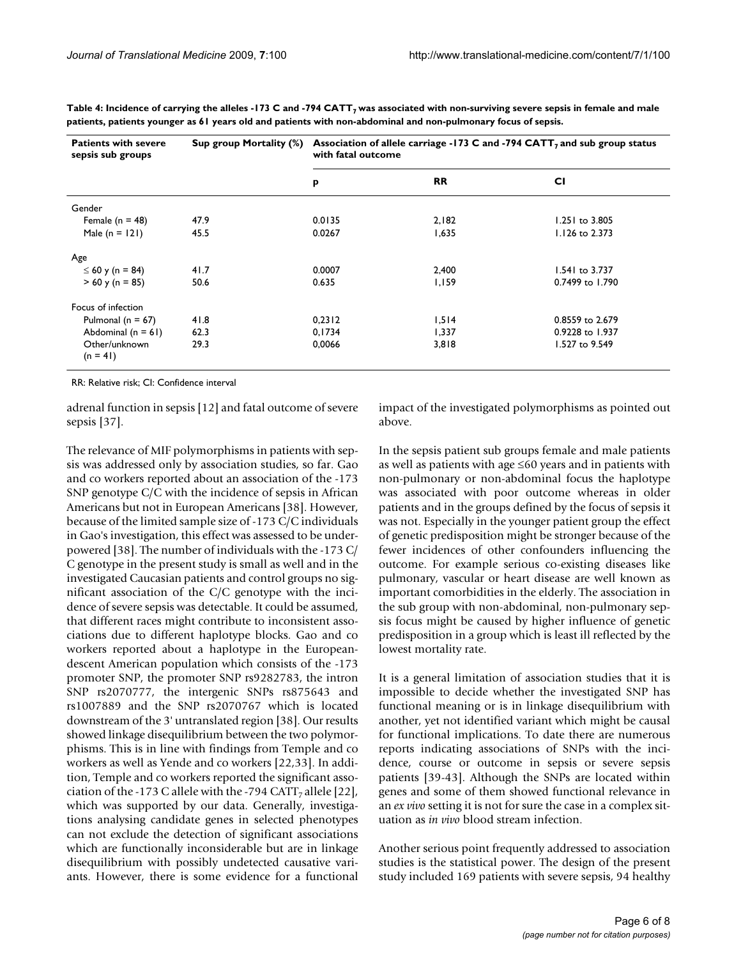| <b>Patients with severe</b><br>sepsis sub groups | Sup group Mortality (%) | Association of allele carriage -173 C and -794 CATT, and sub group status<br>with fatal outcome |           |                 |  |  |  |  |
|--------------------------------------------------|-------------------------|-------------------------------------------------------------------------------------------------|-----------|-----------------|--|--|--|--|
|                                                  |                         | p                                                                                               | <b>RR</b> | <b>CI</b>       |  |  |  |  |
| Gender                                           |                         |                                                                                                 |           |                 |  |  |  |  |
| Female ( $n = 48$ )                              | 47.9                    | 0.0135                                                                                          | 2,182     | 1.251 to 3.805  |  |  |  |  |
| Male $(n = 121)$                                 | 45.5                    | 0.0267                                                                                          | 1,635     | 1.126 to 2.373  |  |  |  |  |
| Age                                              |                         |                                                                                                 |           |                 |  |  |  |  |
| ≤ 60 y (n = 84)                                  | 41.7                    | 0.0007                                                                                          | 2,400     | 1.541 to 3.737  |  |  |  |  |
| $> 60$ y (n = 85)                                | 50.6                    | 0.635                                                                                           | 1,159     | 0.7499 to 1.790 |  |  |  |  |
| Focus of infection                               |                         |                                                                                                 |           |                 |  |  |  |  |
| Pulmonal ( $n = 67$ )                            | 41.8                    | 0,2312                                                                                          | 1,514     | 0.8559 to 2.679 |  |  |  |  |
| Abdominal $(n = 61)$                             | 62.3                    | 0,1734                                                                                          | 1,337     | 0.9228 to 1.937 |  |  |  |  |
| Other/unknown<br>$(n = 41)$                      | 29.3                    | 0,0066                                                                                          | 3,818     | 1.527 to 9.549  |  |  |  |  |

Table 4: Incidence of carrying the alleles -173 C and -794 CATT<sub>7</sub> was associated with non-surviving severe sepsis in female and male **patients, patients younger as 61 years old and patients with non-abdominal and non-pulmonary focus of sepsis.**

RR: Relative risk; CI: Confidence interval

adrenal function in sepsis [12] and fatal outcome of severe sepsis [37].

The relevance of MIF polymorphisms in patients with sepsis was addressed only by association studies, so far. Gao and co workers reported about an association of the -173 SNP genotype C/C with the incidence of sepsis in African Americans but not in European Americans [38]. However, because of the limited sample size of -173 C/C individuals in Gao's investigation, this effect was assessed to be underpowered [38]. The number of individuals with the -173 C/ C genotype in the present study is small as well and in the investigated Caucasian patients and control groups no significant association of the C/C genotype with the incidence of severe sepsis was detectable. It could be assumed, that different races might contribute to inconsistent associations due to different haplotype blocks. Gao and co workers reported about a haplotype in the Europeandescent American population which consists of the -173 promoter SNP, the promoter SNP rs9282783, the intron SNP rs2070777, the intergenic SNPs rs875643 and rs1007889 and the SNP rs2070767 which is located downstream of the 3' untranslated region [38]. Our results showed linkage disequilibrium between the two polymorphisms. This is in line with findings from Temple and co workers as well as Yende and co workers [22,33]. In addition, Temple and co workers reported the significant association of the -173 C allele with the -794 CATT, allele [22], which was supported by our data. Generally, investigations analysing candidate genes in selected phenotypes can not exclude the detection of significant associations which are functionally inconsiderable but are in linkage disequilibrium with possibly undetected causative variants. However, there is some evidence for a functional

impact of the investigated polymorphisms as pointed out above.

In the sepsis patient sub groups female and male patients as well as patients with age ≤60 years and in patients with non-pulmonary or non-abdominal focus the haplotype was associated with poor outcome whereas in older patients and in the groups defined by the focus of sepsis it was not. Especially in the younger patient group the effect of genetic predisposition might be stronger because of the fewer incidences of other confounders influencing the outcome. For example serious co-existing diseases like pulmonary, vascular or heart disease are well known as important comorbidities in the elderly. The association in the sub group with non-abdominal, non-pulmonary sepsis focus might be caused by higher influence of genetic predisposition in a group which is least ill reflected by the lowest mortality rate.

It is a general limitation of association studies that it is impossible to decide whether the investigated SNP has functional meaning or is in linkage disequilibrium with another, yet not identified variant which might be causal for functional implications. To date there are numerous reports indicating associations of SNPs with the incidence, course or outcome in sepsis or severe sepsis patients [39-43]. Although the SNPs are located within genes and some of them showed functional relevance in an *ex vivo* setting it is not for sure the case in a complex situation as *in vivo* blood stream infection.

Another serious point frequently addressed to association studies is the statistical power. The design of the present study included 169 patients with severe sepsis, 94 healthy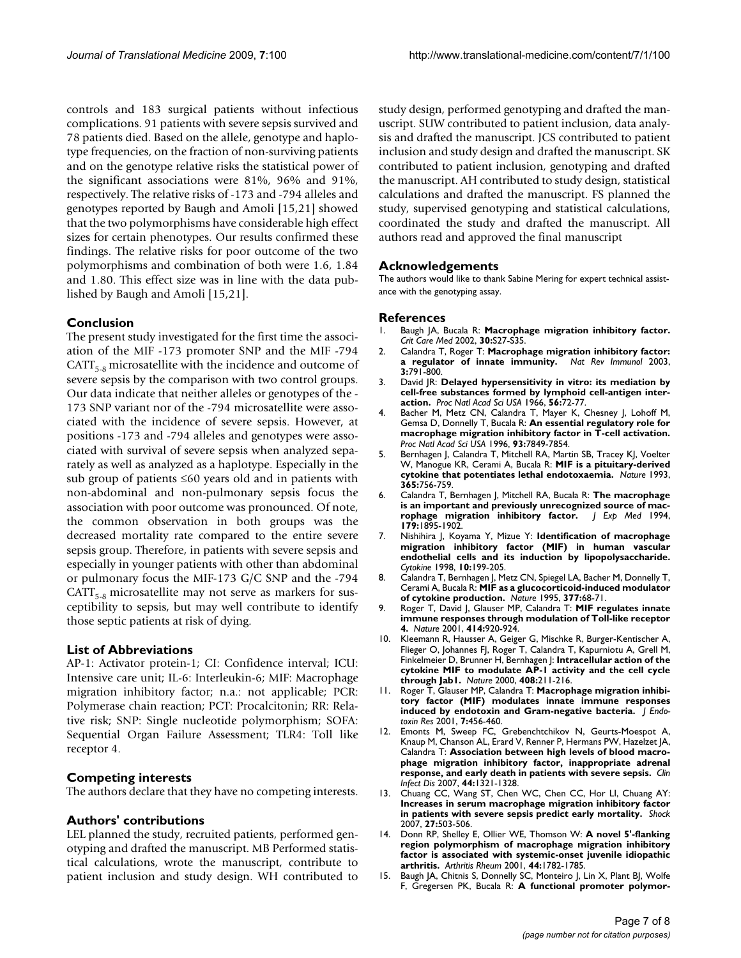controls and 183 surgical patients without infectious complications. 91 patients with severe sepsis survived and 78 patients died. Based on the allele, genotype and haplotype frequencies, on the fraction of non-surviving patients and on the genotype relative risks the statistical power of the significant associations were 81%, 96% and 91%, respectively. The relative risks of -173 and -794 alleles and genotypes reported by Baugh and Amoli [15,21] showed that the two polymorphisms have considerable high effect sizes for certain phenotypes. Our results confirmed these findings. The relative risks for poor outcome of the two polymorphisms and combination of both were 1.6, 1.84 and 1.80. This effect size was in line with the data published by Baugh and Amoli [15,21].

#### **Conclusion**

The present study investigated for the first time the association of the MIF -173 promoter SNP and the MIF -794  $CATT_{5,8}$  microsatellite with the incidence and outcome of severe sepsis by the comparison with two control groups. Our data indicate that neither alleles or genotypes of the - 173 SNP variant nor of the -794 microsatellite were associated with the incidence of severe sepsis. However, at positions -173 and -794 alleles and genotypes were associated with survival of severe sepsis when analyzed separately as well as analyzed as a haplotype. Especially in the sub group of patients ≤60 years old and in patients with non-abdominal and non-pulmonary sepsis focus the association with poor outcome was pronounced. Of note, the common observation in both groups was the decreased mortality rate compared to the entire severe sepsis group. Therefore, in patients with severe sepsis and especially in younger patients with other than abdominal or pulmonary focus the MIF-173 G/C SNP and the -794  $CATT_{5,8}$  microsatellite may not serve as markers for susceptibility to sepsis, but may well contribute to identify those septic patients at risk of dying.

#### **List of Abbreviations**

AP-1: Activator protein-1; CI: Confidence interval; ICU: Intensive care unit; IL-6: Interleukin-6; MIF: Macrophage migration inhibitory factor; n.a.: not applicable; PCR: Polymerase chain reaction; PCT: Procalcitonin; RR: Relative risk; SNP: Single nucleotide polymorphism; SOFA: Sequential Organ Failure Assessment; TLR4: Toll like receptor 4.

#### **Competing interests**

The authors declare that they have no competing interests.

#### **Authors' contributions**

LEL planned the study, recruited patients, performed genotyping and drafted the manuscript. MB Performed statistical calculations, wrote the manuscript, contribute to patient inclusion and study design. WH contributed to study design, performed genotyping and drafted the manuscript. SUW contributed to patient inclusion, data analysis and drafted the manuscript. JCS contributed to patient inclusion and study design and drafted the manuscript. SK contributed to patient inclusion, genotyping and drafted the manuscript. AH contributed to study design, statistical calculations and drafted the manuscript. FS planned the study, supervised genotyping and statistical calculations, coordinated the study and drafted the manuscript. All authors read and approved the final manuscript

#### **Acknowledgements**

The authors would like to thank Sabine Mering for expert technical assistance with the genotyping assay.

#### **References**

- 1. Baugh JA, Bucala R: **Macrophage migration inhibitory factor.** *Crit Care Med* 2002, **30:**S27-S35.
- 2. Calandra T, Roger T: **[Macrophage migration inhibitory factor:](http://www.ncbi.nlm.nih.gov/entrez/query.fcgi?cmd=Retrieve&db=PubMed&dopt=Abstract&list_uids=14502271)** [a regulator of innate immunity.](http://www.ncbi.nlm.nih.gov/entrez/query.fcgi?cmd=Retrieve&db=PubMed&dopt=Abstract&list_uids=14502271) **3:**791-800.
- 3. David JR: **[Delayed hypersensitivity in vitro: its mediation by](http://www.ncbi.nlm.nih.gov/entrez/query.fcgi?cmd=Retrieve&db=PubMed&dopt=Abstract&list_uids=5229858) [cell-free substances formed by lymphoid cell-antigen inter](http://www.ncbi.nlm.nih.gov/entrez/query.fcgi?cmd=Retrieve&db=PubMed&dopt=Abstract&list_uids=5229858)[action.](http://www.ncbi.nlm.nih.gov/entrez/query.fcgi?cmd=Retrieve&db=PubMed&dopt=Abstract&list_uids=5229858)** *Proc Natl Acad Sci USA* 1966, **56:**72-77.
- 4. Bacher M, Metz CN, Calandra T, Mayer K, Chesney J, Lohoff M, Gemsa D, Donnelly T, Bucala R: **[An essential regulatory role for](http://www.ncbi.nlm.nih.gov/entrez/query.fcgi?cmd=Retrieve&db=PubMed&dopt=Abstract&list_uids=8755565) [macrophage migration inhibitory factor in T-cell activation.](http://www.ncbi.nlm.nih.gov/entrez/query.fcgi?cmd=Retrieve&db=PubMed&dopt=Abstract&list_uids=8755565)** *Proc Natl Acad Sci USA* 1996, **93:**7849-7854.
- 5. Bernhagen J, Calandra T, Mitchell RA, Martin SB, Tracey KJ, Voelter W, Manogue KR, Cerami A, Bucala R: **[MIF is a pituitary-derived](http://www.ncbi.nlm.nih.gov/entrez/query.fcgi?cmd=Retrieve&db=PubMed&dopt=Abstract&list_uids=8413654) [cytokine that potentiates lethal endotoxaemia.](http://www.ncbi.nlm.nih.gov/entrez/query.fcgi?cmd=Retrieve&db=PubMed&dopt=Abstract&list_uids=8413654)** *Nature* 1993, **365:**756-759.
- 6. Calandra T, Bernhagen J, Mitchell RA, Bucala R: **[The macrophage](http://www.ncbi.nlm.nih.gov/entrez/query.fcgi?cmd=Retrieve&db=PubMed&dopt=Abstract&list_uids=8195715) is an important and previously unrecognized source of mac-<br><b>rophage migration inhibitory factor.** J Exp Med 1994, [rophage migration inhibitory factor.](http://www.ncbi.nlm.nih.gov/entrez/query.fcgi?cmd=Retrieve&db=PubMed&dopt=Abstract&list_uids=8195715) **179:**1895-1902.
- 7. Nishihira J, Koyama Y, Mizue Y: **[Identification of macrophage](http://www.ncbi.nlm.nih.gov/entrez/query.fcgi?cmd=Retrieve&db=PubMed&dopt=Abstract&list_uids=9576065) [migration inhibitory factor \(MIF\) in human vascular](http://www.ncbi.nlm.nih.gov/entrez/query.fcgi?cmd=Retrieve&db=PubMed&dopt=Abstract&list_uids=9576065) endothelial cells and its induction by lipopolysaccharide.** *Cytokine* 1998, **10:**199-205.
- 8. Calandra T, Bernhagen J, Metz CN, Spiegel LA, Bacher M, Donnelly T, Cerami A, Bucala R: **[MIF as a glucocorticoid-induced modulator](http://www.ncbi.nlm.nih.gov/entrez/query.fcgi?cmd=Retrieve&db=PubMed&dopt=Abstract&list_uids=7659164) [of cytokine production.](http://www.ncbi.nlm.nih.gov/entrez/query.fcgi?cmd=Retrieve&db=PubMed&dopt=Abstract&list_uids=7659164)** *Nature* 1995, **377:**68-71.
- 9. Roger T, David J, Glauser MP, Calandra T: **[MIF regulates innate](http://www.ncbi.nlm.nih.gov/entrez/query.fcgi?cmd=Retrieve&db=PubMed&dopt=Abstract&list_uids=11780066) [immune responses through modulation of Toll-like receptor](http://www.ncbi.nlm.nih.gov/entrez/query.fcgi?cmd=Retrieve&db=PubMed&dopt=Abstract&list_uids=11780066) [4.](http://www.ncbi.nlm.nih.gov/entrez/query.fcgi?cmd=Retrieve&db=PubMed&dopt=Abstract&list_uids=11780066)** *Nature* 2001, **414:**920-924.
- 10. Kleemann R, Hausser A, Geiger G, Mischke R, Burger-Kentischer A, Flieger O, Johannes FJ, Roger T, Calandra T, Kapurniotu A, Grell M, Finkelmeier D, Brunner H, Bernhagen J: **[Intracellular action of the](http://www.ncbi.nlm.nih.gov/entrez/query.fcgi?cmd=Retrieve&db=PubMed&dopt=Abstract&list_uids=11089976) [cytokine MIF to modulate AP-1 activity and the cell cycle](http://www.ncbi.nlm.nih.gov/entrez/query.fcgi?cmd=Retrieve&db=PubMed&dopt=Abstract&list_uids=11089976) [through Jab1.](http://www.ncbi.nlm.nih.gov/entrez/query.fcgi?cmd=Retrieve&db=PubMed&dopt=Abstract&list_uids=11089976)** *Nature* 2000, **408:**211-216.
- 11. Roger T, Glauser MP, Calandra T: **[Macrophage migration inhibi](http://www.ncbi.nlm.nih.gov/entrez/query.fcgi?cmd=Retrieve&db=PubMed&dopt=Abstract&list_uids=11753217)[tory factor \(MIF\) modulates innate immune responses](http://www.ncbi.nlm.nih.gov/entrez/query.fcgi?cmd=Retrieve&db=PubMed&dopt=Abstract&list_uids=11753217) [induced by endotoxin and Gram-negative bacteria.](http://www.ncbi.nlm.nih.gov/entrez/query.fcgi?cmd=Retrieve&db=PubMed&dopt=Abstract&list_uids=11753217)** *J Endotoxin Res* 2001, **7:**456-460.
- 12. Emonts M, Sweep FC, Grebenchtchikov N, Geurts-Moespot A, Knaup M, Chanson AL, Erard V, Renner P, Hermans PW, Hazelzet JA, Calandra T: **[Association between high levels of blood macro](http://www.ncbi.nlm.nih.gov/entrez/query.fcgi?cmd=Retrieve&db=PubMed&dopt=Abstract&list_uids=17443469)[phage migration inhibitory factor, inappropriate adrenal](http://www.ncbi.nlm.nih.gov/entrez/query.fcgi?cmd=Retrieve&db=PubMed&dopt=Abstract&list_uids=17443469) [response, and early death in patients with severe sepsis.](http://www.ncbi.nlm.nih.gov/entrez/query.fcgi?cmd=Retrieve&db=PubMed&dopt=Abstract&list_uids=17443469)** *Clin Infect Dis* 2007, **44:**1321-1328.
- 13. Chuang CC, Wang ST, Chen WC, Chen CC, Hor LI, Chuang AY: **[Increases in serum macrophage migration inhibitory factor](http://www.ncbi.nlm.nih.gov/entrez/query.fcgi?cmd=Retrieve&db=PubMed&dopt=Abstract&list_uids=17438455) [in patients with severe sepsis predict early mortality.](http://www.ncbi.nlm.nih.gov/entrez/query.fcgi?cmd=Retrieve&db=PubMed&dopt=Abstract&list_uids=17438455)** *Shock* 2007, **27:**503-506.
- 14. Donn RP, Shelley E, Ollier WE, Thomson W: **[A novel 5'-flanking](http://www.ncbi.nlm.nih.gov/entrez/query.fcgi?cmd=Retrieve&db=PubMed&dopt=Abstract&list_uids=11508429) [region polymorphism of macrophage migration inhibitory](http://www.ncbi.nlm.nih.gov/entrez/query.fcgi?cmd=Retrieve&db=PubMed&dopt=Abstract&list_uids=11508429) factor is associated with systemic-onset juvenile idiopathic [arthritis.](http://www.ncbi.nlm.nih.gov/entrez/query.fcgi?cmd=Retrieve&db=PubMed&dopt=Abstract&list_uids=11508429)** *Arthritis Rheum* 2001, **44:**1782-1785.
- 15. Baugh JA, Chitnis S, Donnelly SC, Monteiro J, Lin X, Plant BJ, Wolfe F, Gregersen PK, Bucala R: **[A functional promoter polymor](http://www.ncbi.nlm.nih.gov/entrez/query.fcgi?cmd=Retrieve&db=PubMed&dopt=Abstract&list_uids=12070782)-**